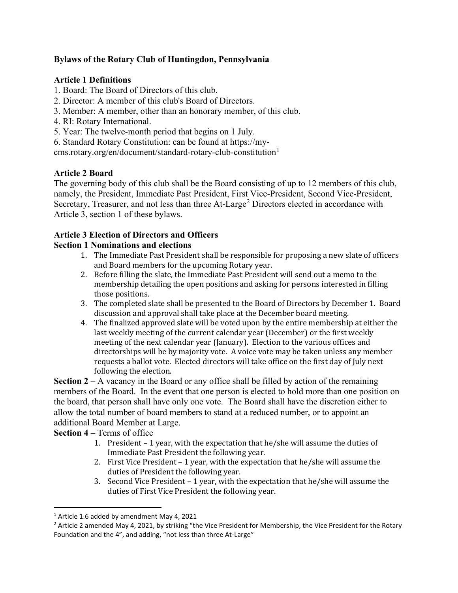## **Bylaws of the Rotary Club of Huntingdon, Pennsylvania**

## **Article 1 Definitions**

- 1. Board: The Board of Directors of this club.
- 2. Director: A member of this club's Board of Directors.
- 3. Member: A member, other than an honorary member, of this club.
- 4. RI: Rotary International.
- 5. Year: The twelve-month period that begins on 1 July.

6. Standard Rotary Constitution: can be found at https://mycms.rotary.org/en/document/standard-rotary-club-constitution[1](#page-0-0)

# **Article 2 Board**

The governing body of this club shall be the Board consisting of up to 12 members of this club, namely, the President, Immediate Past President, First Vice-President, Second Vice-President, Secretary, Treasurer, and not less than three At-Large<sup>[2](#page-0-1)</sup> Directors elected in accordance with Article 3, section 1 of these bylaws.

# **Article 3 Election of Directors and Officers**

## **Section 1 Nominations and elections**

- 1. The Immediate Past President shall be responsible for proposing a new slate of officers and Board members for the upcoming Rotary year.
- 2. Before filling the slate, the Immediate Past President will send out a memo to the membership detailing the open positions and asking for persons interested in filling those positions.
- 3. The completed slate shall be presented to the Board of Directors by December 1. Board discussion and approval shall take place at the December board meeting.
- 4. The finalized approved slate will be voted upon by the entire membership at either the last weekly meeting of the current calendar year (December) or the first weekly meeting of the next calendar year (January). Election to the various offices and directorships will be by majority vote. A voice vote may be taken unless any member requests a ballot vote. Elected directors will take office on the first day of July next following the election.

**Section 2 –** A vacancy in the Board or any office shall be filled by action of the remaining members of the Board. In the event that one person is elected to hold more than one position on the board, that person shall have only one vote. The Board shall have the discretion either to allow the total number of board members to stand at a reduced number, or to appoint an additional Board Member at Large.

**Section 4** – Terms of office

- 1. President 1 year, with the expectation that he/she will assume the duties of Immediate Past President the following year.
- 2. First Vice President 1 year, with the expectation that he/she will assume the duties of President the following year.
- 3. Second Vice President 1 year, with the expectation that he/she will assume the duties of First Vice President the following year.

<span id="page-0-0"></span><sup>&</sup>lt;sup>1</sup> Article 1.6 added by amendment May 4, 2021

<span id="page-0-1"></span><sup>&</sup>lt;sup>2</sup> Article 2 amended May 4, 2021, by striking "the Vice President for Membership, the Vice President for the Rotary Foundation and the 4", and adding, "not less than three At-Large"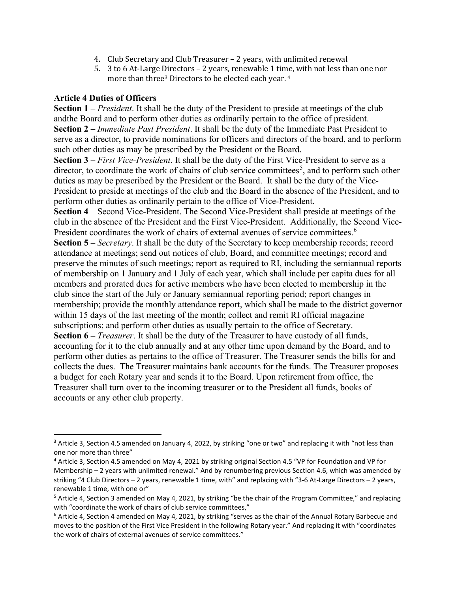- 4. Club Secretary and Club Treasurer 2 years, with unlimited renewal
- 5. 3 to 6 At-Large Directors 2 years, renewable 1 time, with not less than one nor more than three<sup>[3](#page-1-0)</sup> Directors to be elected each year. <sup>[4](#page-1-1)</sup>

#### **Article 4 Duties of Officers**

**Section 1 –** *President*. It shall be the duty of the President to preside at meetings of the club andthe Board and to perform other duties as ordinarily pertain to the office of president. **Section 2 –** *Immediate Past President*. It shall be the duty of the Immediate Past President to serve as a director, to provide nominations for officers and directors of the board, and to perform such other duties as may be prescribed by the President or the Board.

**Section 3 –** *First Vice-President*. It shall be the duty of the First Vice-President to serve as a director, to coordinate the work of chairs of club service committees<sup>[5](#page-1-2)</sup>, and to perform such other duties as may be prescribed by the President or the Board. It shall be the duty of the Vice-President to preside at meetings of the club and the Board in the absence of the President, and to perform other duties as ordinarily pertain to the office of Vice-President.

**Section 4** – Second Vice-President. The Second Vice-President shall preside at meetings of the club in the absence of the President and the First Vice-President. Additionally, the Second Vice-President coordinates the work of chairs of external avenues of service committees.<sup>[6](#page-1-3)</sup> **Section 5 –** *Secretary*. It shall be the duty of the Secretary to keep membership records; record attendance at meetings; send out notices of club, Board, and committee meetings; record and preserve the minutes of such meetings; report as required to RI, including the semiannual reports of membership on 1 January and 1 July of each year, which shall include per capita dues for all members and prorated dues for active members who have been elected to membership in the club since the start of the July or January semiannual reporting period; report changes in membership; provide the monthly attendance report, which shall be made to the district governor within 15 days of the last meeting of the month; collect and remit RI official magazine subscriptions; and perform other duties as usually pertain to the office of Secretary. **Section 6 –** *Treasurer*. It shall be the duty of the Treasurer to have custody of all funds, accounting for it to the club annually and at any other time upon demand by the Board, and to perform other duties as pertains to the office of Treasurer. The Treasurer sends the bills for and collects the dues. The Treasurer maintains bank accounts for the funds. The Treasurer proposes a budget for each Rotary year and sends it to the Board. Upon retirement from office, the Treasurer shall turn over to the incoming treasurer or to the President all funds, books of accounts or any other club property.

<span id="page-1-0"></span><sup>&</sup>lt;sup>3</sup> Article 3, Section 4.5 amended on January 4, 2022, by striking "one or two" and replacing it with "not less than one nor more than three"

<span id="page-1-1"></span><sup>4</sup> Article 3, Section 4.5 amended on May 4, 2021 by striking original Section 4.5 "VP for Foundation and VP for Membership – 2 years with unlimited renewal." And by renumbering previous Section 4.6, which was amended by striking "4 Club Directors – 2 years, renewable 1 time, with" and replacing with "3-6 At-Large Directors – 2 years, renewable 1 time, with one or"

<span id="page-1-2"></span> $5$  Article 4, Section 3 amended on May 4, 2021, by striking "be the chair of the Program Committee," and replacing with "coordinate the work of chairs of club service committees,"

<span id="page-1-3"></span> $6$  Article 4, Section 4 amended on May 4, 2021, by striking "serves as the chair of the Annual Rotary Barbecue and moves to the position of the First Vice President in the following Rotary year." And replacing it with "coordinates the work of chairs of external avenues of service committees."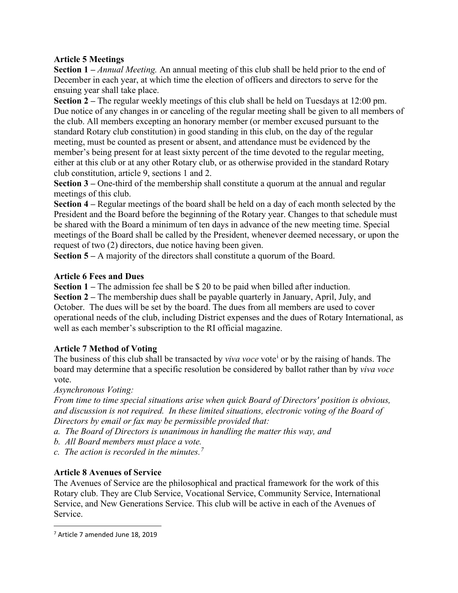## **Article 5 Meetings**

**Section 1 –** *Annual Meeting.* An annual meeting of this club shall be held prior to the end of December in each year, at which time the election of officers and directors to serve for the ensuing year shall take place.

**Section 2 –** The regular weekly meetings of this club shall be held on Tuesdays at 12:00 pm. Due notice of any changes in or canceling of the regular meeting shall be given to all members of the club. All members excepting an honorary member (or member excused pursuant to the standard Rotary club constitution) in good standing in this club, on the day of the regular meeting, must be counted as present or absent, and attendance must be evidenced by the member's being present for at least sixty percent of the time devoted to the regular meeting, either at this club or at any other Rotary club, or as otherwise provided in the standard Rotary club constitution, article 9, sections 1 and 2.

**Section 3 –** One-third of the membership shall constitute a quorum at the annual and regular meetings of this club.

**Section 4 –** Regular meetings of the board shall be held on a day of each month selected by the President and the Board before the beginning of the Rotary year. Changes to that schedule must be shared with the Board a minimum of ten days in advance of the new meeting time. Special meetings of the Board shall be called by the President, whenever deemed necessary, or upon the request of two (2) directors, due notice having been given.

**Section 5 –** A majority of the directors shall constitute a quorum of the Board.

## **Article 6 Fees and Dues**

**Section 1 –** The admission fee shall be \$ 20 to be paid when billed after induction.

**Section 2 –** The membership dues shall be payable quarterly in January, April, July, and October. The dues will be set by the board. The dues from all members are used to cover operational needs of the club, including District expenses and the dues of Rotary International, as well as each member's subscription to the RI official magazine.

## **Article 7 Method of Voting**

The bus[i](#page-6-0)ness of this club shall be transacted by *viva voce* vote<sup>1</sup> or by the raising of hands. The board may determine that a specific resolution be considered by ballot rather than by *viva voce*  vote.

*Asynchronous Voting:*

*From time to time special situations arise when quick Board of Directors' position is obvious, and discussion is not required. In these limited situations, electronic voting of the Board of Directors by email or fax may be permissible provided that:*

- *a. The Board of Directors is unanimous in handling the matter this way, and*
- *b. All Board members must place a vote.*
- *c. The action is recorded in the minutes.[7](#page-2-0)*

## **Article 8 Avenues of Service**

The Avenues of Service are the philosophical and practical framework for the work of this Rotary club. They are Club Service, Vocational Service, Community Service, International Service, and New Generations Service. This club will be active in each of the Avenues of Service.

<span id="page-2-0"></span><sup>7</sup> Article 7 amended June 18, 2019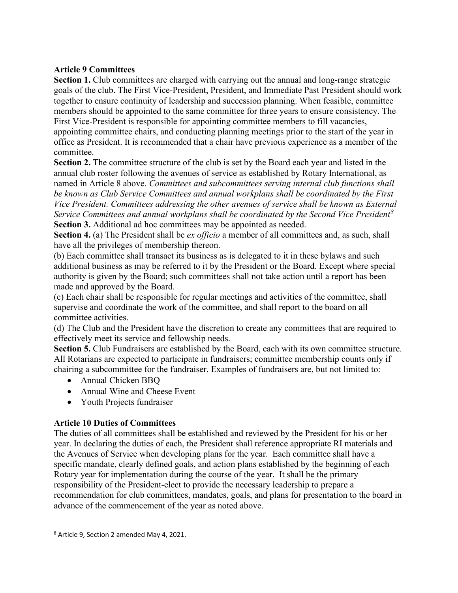### **Article 9 Committees**

**Section 1.** Club committees are charged with carrying out the annual and long-range strategic goals of the club. The First Vice-President, President, and Immediate Past President should work together to ensure continuity of leadership and succession planning. When feasible, committee members should be appointed to the same committee for three years to ensure consistency. The First Vice-President is responsible for appointing committee members to fill vacancies, appointing committee chairs, and conducting planning meetings prior to the start of the year in office as President. It is recommended that a chair have previous experience as a member of the committee.

**Section 2.** The committee structure of the club is set by the Board each year and listed in the annual club roster following the avenues of service as established by Rotary International, as named in Article 8 above. *Committees and subcommittees serving internal club functions shall be known as Club Service Committees and annual workplans shall be coordinated by the First Vice President. Committees addressing the other avenues of service shall be known as External Service Committees and annual workplans shall be coordinated by the Second Vice President[8](#page-3-0)* **Section 3.** Additional ad hoc committees may be appointed as needed.

**Section 4.** (a) The President shall be *ex officio* a member of all committees and, as such, shall have all the privileges of membership thereon.

(b) Each committee shall transact its business as is delegated to it in these bylaws and such additional business as may be referred to it by the President or the Board. Except where special authority is given by the Board; such committees shall not take action until a report has been made and approved by the Board.

(c) Each chair shall be responsible for regular meetings and activities of the committee, shall supervise and coordinate the work of the committee, and shall report to the board on all committee activities.

(d) The Club and the President have the discretion to create any committees that are required to effectively meet its service and fellowship needs.

**Section 5.** Club Fundraisers are established by the Board, each with its own committee structure. All Rotarians are expected to participate in fundraisers; committee membership counts only if chairing a subcommittee for the fundraiser. Examples of fundraisers are, but not limited to:

- Annual Chicken BBQ
- Annual Wine and Cheese Event
- Youth Projects fundraiser

## **Article 10 Duties of Committees**

The duties of all committees shall be established and reviewed by the President for his or her year. In declaring the duties of each, the President shall reference appropriate RI materials and the Avenues of Service when developing plans for the year. Each committee shall have a specific mandate, clearly defined goals, and action plans established by the beginning of each Rotary year for implementation during the course of the year. It shall be the primary responsibility of the President-elect to provide the necessary leadership to prepare a recommendation for club committees, mandates, goals, and plans for presentation to the board in advance of the commencement of the year as noted above.

<span id="page-3-0"></span><sup>8</sup> Article 9, Section 2 amended May 4, 2021.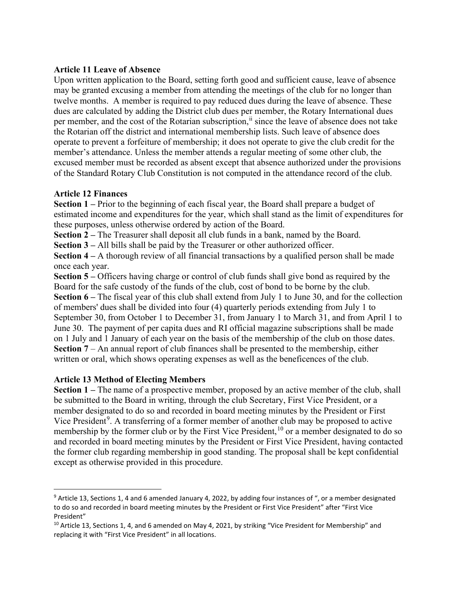#### **Article 11 Leave of Absence**

Upon written application to the Board, setting forth good and sufficient cause, leave of absence may be granted excusing a member from attending the meetings of the club for no longer than twelve months. A member is required to pay reduced dues during the leave of absence. These dues are calculated by adding the District club dues per member, the Rotary International dues per member, and the cost of the Rotarian subscription,<sup>[ii](#page-6-1)</sup> since the leave of absence does not take the Rotarian off the district and international membership lists. Such leave of absence does operate to prevent a forfeiture of membership; it does not operate to give the club credit for the member's attendance. Unless the member attends a regular meeting of some other club, the excused member must be recorded as absent except that absence authorized under the provisions of the Standard Rotary Club Constitution is not computed in the attendance record of the club.

### **Article 12 Finances**

**Section 1 –** Prior to the beginning of each fiscal year, the Board shall prepare a budget of estimated income and expenditures for the year, which shall stand as the limit of expenditures for these purposes, unless otherwise ordered by action of the Board.

**Section 2 –** The Treasurer shall deposit all club funds in a bank, named by the Board.

**Section 3 –** All bills shall be paid by the Treasurer or other authorized officer.

**Section 4 –** A thorough review of all financial transactions by a qualified person shall be made once each year.

**Section 5 –** Officers having charge or control of club funds shall give bond as required by the Board for the safe custody of the funds of the club, cost of bond to be borne by the club. **Section 6 –** The fiscal year of this club shall extend from July 1 to June 30, and for the collection of members' dues shall be divided into four (4) quarterly periods extending from July 1 to September 30, from October 1 to December 31, from January 1 to March 31, and from April 1 to June 30. The payment of per capita dues and RI official magazine subscriptions shall be made on 1 July and 1 January of each year on the basis of the membership of the club on those dates. **Section 7** – An annual report of club finances shall be presented to the membership, either written or oral, which shows operating expenses as well as the beneficences of the club.

## **Article 13 Method of Electing Members**

**Section 1 –** The name of a prospective member, proposed by an active member of the club, shall be submitted to the Board in writing, through the club Secretary, First Vice President, or a member designated to do so and recorded in board meeting minutes by the President or First Vice President<sup>[9](#page-4-0)</sup>. A transferring of a former member of another club may be proposed to active membership by the former club or by the First Vice President, <sup>[10](#page-4-1)</sup> or a member designated to do so and recorded in board meeting minutes by the President or First Vice President, having contacted the former club regarding membership in good standing. The proposal shall be kept confidential except as otherwise provided in this procedure.

<span id="page-4-0"></span> $9$  Article 13, Sections 1, 4 and 6 amended January 4, 2022, by adding four instances of ", or a member designated to do so and recorded in board meeting minutes by the President or First Vice President" after "First Vice President"

<span id="page-4-1"></span> $10$  Article 13, Sections 1, 4, and 6 amended on May 4, 2021, by striking "Vice President for Membership" and replacing it with "First Vice President" in all locations.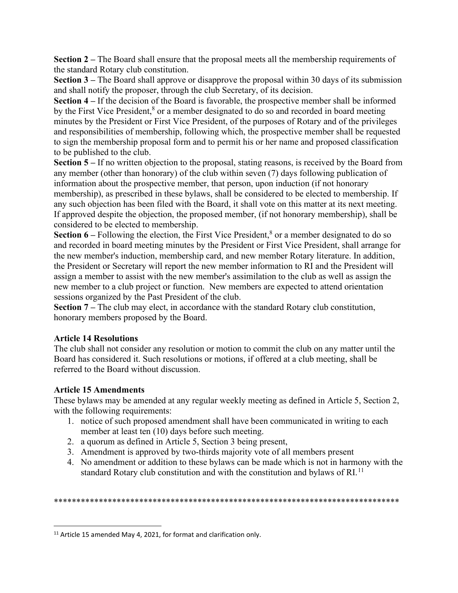**Section 2** – The Board shall ensure that the proposal meets all the membership requirements of the standard Rotary club constitution.

**Section 3 –** The Board shall approve or disapprove the proposal within 30 days of its submission and shall notify the proposer, through the club Secretary, of its decision.

**Section 4 –** If the decision of the Board is favorable, the prospective member shall be informed by the First Vice President,<sup>8</sup> or a member designated to do so and recorded in board meeting minutes by the President or First Vice President, of the purposes of Rotary and of the privileges and responsibilities of membership, following which, the prospective member shall be requested to sign the membership proposal form and to permit his or her name and proposed classification to be published to the club.

**Section 5** – If no written objection to the proposal, stating reasons, is received by the Board from any member (other than honorary) of the club within seven (7) days following publication of information about the prospective member, that person, upon induction (if not honorary membership), as prescribed in these bylaws, shall be considered to be elected to membership. If any such objection has been filed with the Board, it shall vote on this matter at its next meeting. If approved despite the objection, the proposed member, (if not honorary membership), shall be considered to be elected to membership.

Section 6 – Following the election, the First Vice President,<sup>8</sup> or a member designated to do so and recorded in board meeting minutes by the President or First Vice President, shall arrange for the new member's induction, membership card, and new member Rotary literature. In addition, the President or Secretary will report the new member information to RI and the President will assign a member to assist with the new member's assimilation to the club as well as assign the new member to a club project or function. New members are expected to attend orientation sessions organized by the Past President of the club.

**Section 7 –** The club may elect, in accordance with the standard Rotary club constitution, honorary members proposed by the Board.

#### **Article 14 Resolutions**

The club shall not consider any resolution or motion to commit the club on any matter until the Board has considered it. Such resolutions or motions, if offered at a club meeting, shall be referred to the Board without discussion.

## **Article 15 Amendments**

These bylaws may be amended at any regular weekly meeting as defined in Article 5, Section 2, with the following requirements:

- 1. notice of such proposed amendment shall have been communicated in writing to each member at least ten (10) days before such meeting.
- 2. a quorum as defined in Article 5, Section 3 being present,
- 3. Amendment is approved by two-thirds majority vote of all members present
- 4. No amendment or addition to these bylaws can be made which is not in harmony with the standard Rotary club constitution and with the constitution and bylaws of RI.<sup>[11](#page-5-0)</sup>

\*\*\*\*\*\*\*\*\*\*\*\*\*\*\*\*\*\*\*\*\*\*\*\*\*\*\*\*\*\*\*\*\*\*\*\*\*\*\*\*\*\*\*\*\*\*\*\*\*\*\*\*\*\*\*\*\*\*\*\*\*\*\*\*\*\*\*\*\*\*\*\*\*\*\*\*\*

<span id="page-5-0"></span><sup>&</sup>lt;sup>11</sup> Article 15 amended May 4, 2021, for format and clarification only.